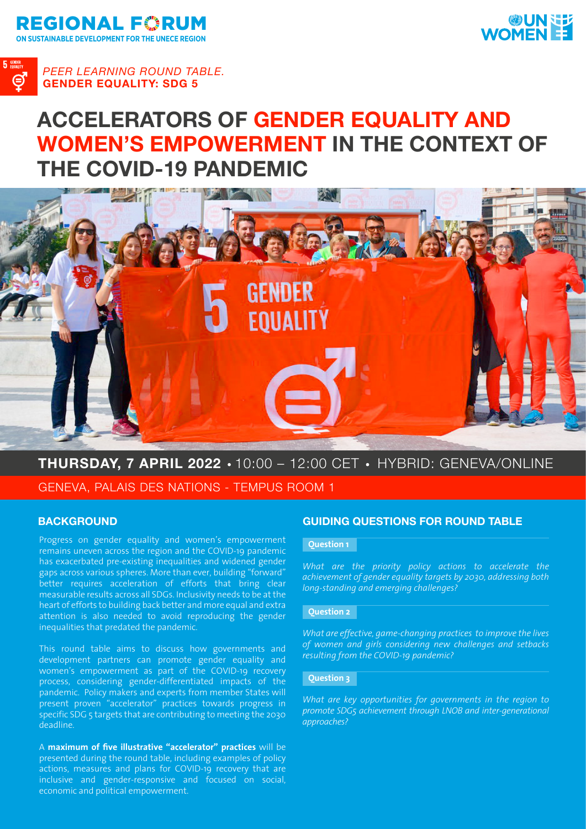





# **ACCELERATORS OF GENDER EQUALITY AND WOMEN'S EMPOWERMENT IN THE CONTEXT OF THE COVID-19 PANDEMIC**



## **THURSDAY, 7 APRIL 2022 · 10:00 - 12:00 CET · HYBRID: GENEVA/ONLINE**

GENEVA, PALAIS DES NATIONS - TEMPUS ROOM 1

Progress on gender equality and women's empowerment remains uneven across the region and the COVID-19 pandemic has exacerbated pre-existing inequalities and widened gender gaps across various spheres. More than ever, building "forward" better requires acceleration of efforts that bring clear measurable results across all SDGs. Inclusivity needs to be at the heart of efforts to building back better and more equal and extra attention is also needed to avoid reproducing the gender inequalities that predated the pandemic.

This round table aims to discuss how governments and development partners can promote gender equality and women's empowerment as part of the COVID-19 recovery process, considering gender-differentiated impacts of the pandemic. Policy makers and experts from member States will present proven "accelerator" practices towards progress in specific SDG 5 targets that are contributing to meeting the 2030 deadline.

A **maximum of five illustrative "accelerator" practices** will be presented during the round table, including examples of policy actions, measures and plans for COVID-19 recovery that are inclusive and gender-responsive and focused on social, economic and political empowerment.

#### **BACKGROUND GUIDING QUESTIONS FOR ROUND TABLE**

#### **Question 1**

*What are the priority policy actions to accelerate the achievement of gender equality targets by 2030, addressing both long-standing and emerging challenges?*

#### **Question 2**

*What are effective, game-changing practices to improve the lives of women and girls considering new challenges and setbacks resulting from the COVID-19 pandemic?*

#### **Question 3**

*What are key opportunities for governments in the region to promote SDG5 achievement through LNOB and inter-generational approaches?*